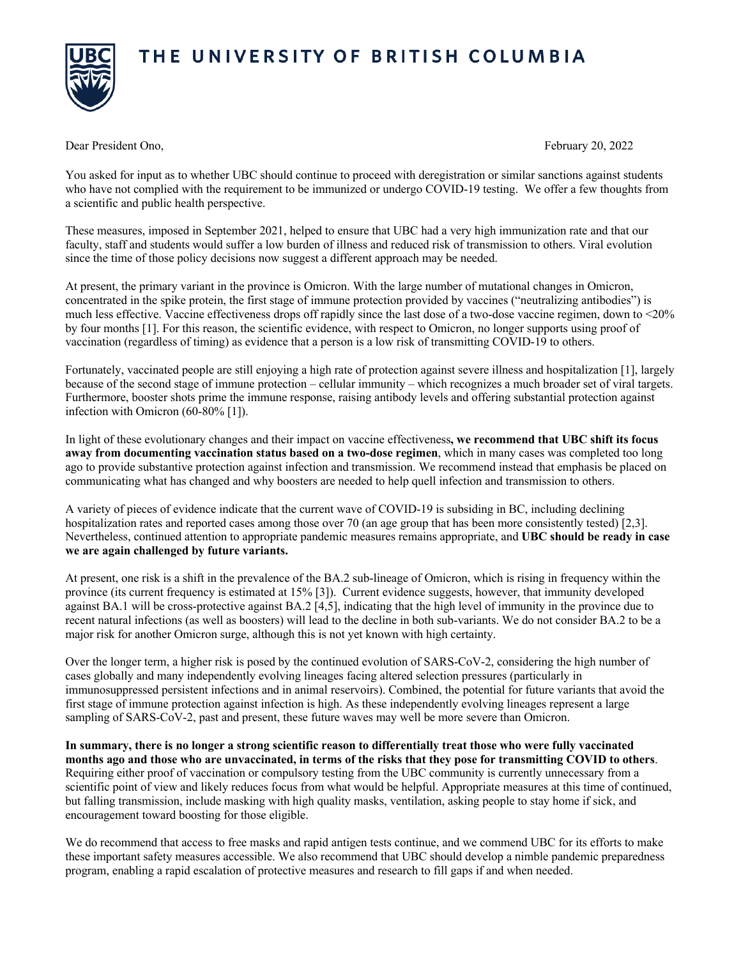## THE UNIVERSITY OF BRITISH COLUMBIA



Dear President Ono, February 20, 2022

You asked for input as to whether UBC should continue to proceed with deregistration or similar sanctions against students who have not complied with the requirement to be immunized or undergo COVID-19 testing. We offer a few thoughts from a scientific and public health perspective.

These measures, imposed in September 2021, helped to ensure that UBC had a very high immunization rate and that our faculty, staff and students would suffer a low burden of illness and reduced risk of transmission to others. Viral evolution since the time of those policy decisions now suggest a different approach may be needed.

At present, the primary variant in the province is Omicron. With the large number of mutational changes in Omicron, concentrated in the spike protein, the first stage of immune protection provided by vaccines ("neutralizing antibodies") is much less effective. Vaccine effectiveness drops off rapidly since the last dose of a two-dose vaccine regimen, down to <20% by four months [1]. For this reason, the scientific evidence, with respect to Omicron, no longer supports using proof of vaccination (regardless of timing) as evidence that a person is a low risk of transmitting COVID-19 to others.

Fortunately, vaccinated people are still enjoying a high rate of protection against severe illness and hospitalization [1], largely because of the second stage of immune protection – cellular immunity – which recognizes a much broader set of viral targets. Furthermore, booster shots prime the immune response, raising antibody levels and offering substantial protection against infection with Omicron (60-80% [1]).

In light of these evolutionary changes and their impact on vaccine effectiveness**, we recommend that UBC shift its focus away from documenting vaccination status based on a two-dose regimen**, which in many cases was completed too long ago to provide substantive protection against infection and transmission. We recommend instead that emphasis be placed on communicating what has changed and why boosters are needed to help quell infection and transmission to others.

A variety of pieces of evidence indicate that the current wave of COVID-19 is subsiding in BC, including declining hospitalization rates and reported cases among those over 70 (an age group that has been more consistently tested) [2,3]. Nevertheless, continued attention to appropriate pandemic measures remains appropriate, and **UBC should be ready in case we are again challenged by future variants.**

At present, one risk is a shift in the prevalence of the BA.2 sub-lineage of Omicron, which is rising in frequency within the province (its current frequency is estimated at 15% [3]). Current evidence suggests, however, that immunity developed against BA.1 will be cross-protective against BA.2 [4,5], indicating that the high level of immunity in the province due to recent natural infections (as well as boosters) will lead to the decline in both sub-variants. We do not consider BA.2 to be a major risk for another Omicron surge, although this is not yet known with high certainty.

Over the longer term, a higher risk is posed by the continued evolution of SARS-CoV-2, considering the high number of cases globally and many independently evolving lineages facing altered selection pressures (particularly in immunosuppressed persistent infections and in animal reservoirs). Combined, the potential for future variants that avoid the first stage of immune protection against infection is high. As these independently evolving lineages represent a large sampling of SARS-CoV-2, past and present, these future waves may well be more severe than Omicron.

**In summary, there is no longer a strong scientific reason to differentially treat those who were fully vaccinated months ago and those who are unvaccinated, in terms of the risks that they pose for transmitting COVID to others**. Requiring either proof of vaccination or compulsory testing from the UBC community is currently unnecessary from a scientific point of view and likely reduces focus from what would be helpful. Appropriate measures at this time of continued, but falling transmission, include masking with high quality masks, ventilation, asking people to stay home if sick, and encouragement toward boosting for those eligible.

We do recommend that access to free masks and rapid antigen tests continue, and we commend UBC for its efforts to make these important safety measures accessible. We also recommend that UBC should develop a nimble pandemic preparedness program, enabling a rapid escalation of protective measures and research to fill gaps if and when needed.